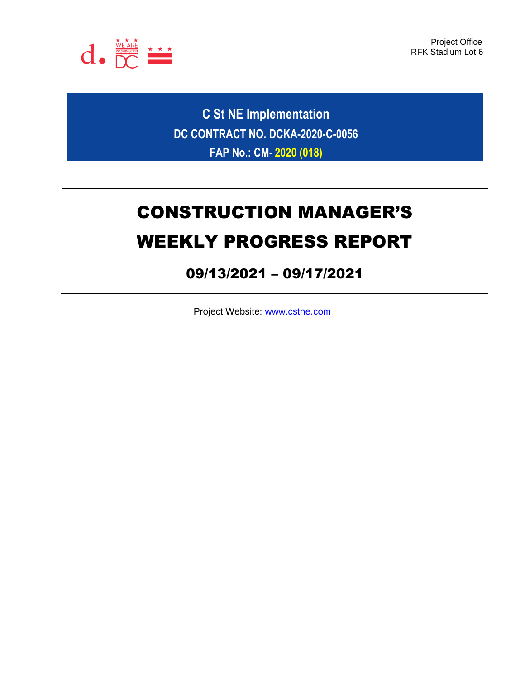

Project Office RFK Stadium Lot 6

**C St NE Implementation DC CONTRACT NO. DCKA-2020-C-0056 FAP No.: CM- 2020 (018)**

# CONSTRUCTION MANAGER'S WEEKLY PROGRESS REPORT

## 09/13/2021 – 09/17/2021

Project Website: [www.cstne.com](http://www.cstne.com/)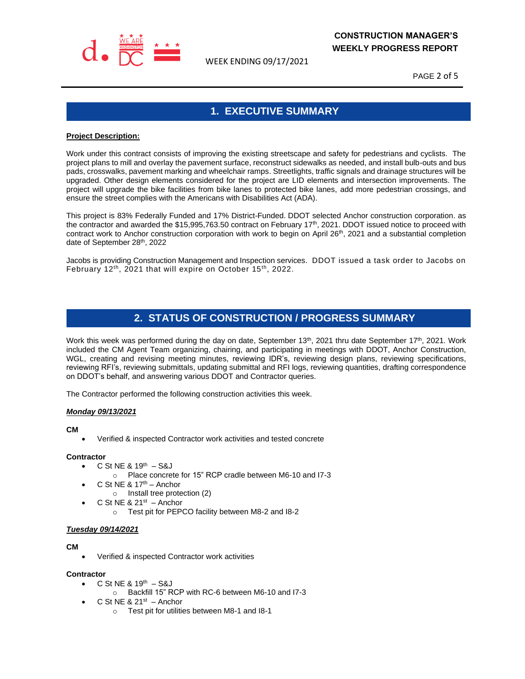

WEEK ENDING 09/17/2021

PAGE 2 of 5

## **1. EXECUTIVE SUMMARY**

#### **Project Description:**

Work under this contract consists of improving the existing streetscape and safety for pedestrians and cyclists. The project plans to mill and overlay the pavement surface, reconstruct sidewalks as needed, and install bulb-outs and bus pads, crosswalks, pavement marking and wheelchair ramps. Streetlights, traffic signals and drainage structures will be upgraded. Other design elements considered for the project are LID elements and intersection improvements. The project will upgrade the bike facilities from bike lanes to protected bike lanes, add more pedestrian crossings, and ensure the street complies with the Americans with Disabilities Act (ADA).

This project is 83% Federally Funded and 17% District-Funded. DDOT selected Anchor construction corporation. as the contractor and awarded the \$15,995,763.50 contract on February 17<sup>th</sup>, 2021. DDOT issued notice to proceed with contract work to Anchor construction corporation with work to begin on April  $26<sup>th</sup>$ , 2021 and a substantial completion date of September 28th, 2022

Jacobs is providing Construction Management and Inspection services. DDOT issued a task order to Jacobs on February 12<sup>th</sup>, 2021 that will expire on October 15<sup>th</sup>, 2022.

## **2. STATUS OF CONSTRUCTION / PROGRESS SUMMARY**

Work this week was performed during the day on date, September 13<sup>th</sup>, 2021 thru date September 17<sup>th</sup>, 2021. Work included the CM Agent Team organizing, chairing, and participating in meetings with DDOT, Anchor Construction, WGL, creating and revising meeting minutes, reviewing IDR's, reviewing design plans, reviewing specifications, reviewing RFI's, reviewing submittals, updating submittal and RFI logs, reviewing quantities, drafting correspondence on DDOT's behalf, and answering various DDOT and Contractor queries.

The Contractor performed the following construction activities this week.

#### *Monday 09/13/2021*

#### **CM**

• Verified & inspected Contractor work activities and tested concrete

#### **Contractor**

- $C$  St NE & 19<sup>th</sup>  $-$  S&J
	- o Place concrete for 15" RCP cradle between M6-10 and I7-3
- C St NE &  $17<sup>th</sup>$  Anchor
	- o Install tree protection (2)
- $\bullet$  C St NE & 21st  $-$  Anchor
	- o Test pit for PEPCO facility between M8-2 and I8-2

#### *Tuesday 09/14/2021*

#### **CM**

• Verified & inspected Contractor work activities

#### **Contractor**

- $C$  St NE & 19<sup>th</sup>  $-$  S&J
	- o Backfill 15" RCP with RC-6 between M6-10 and I7-3
- $\bullet$  C St NE & 21<sup>st</sup> Anchor
	- o Test pit for utilities between M8-1 and I8-1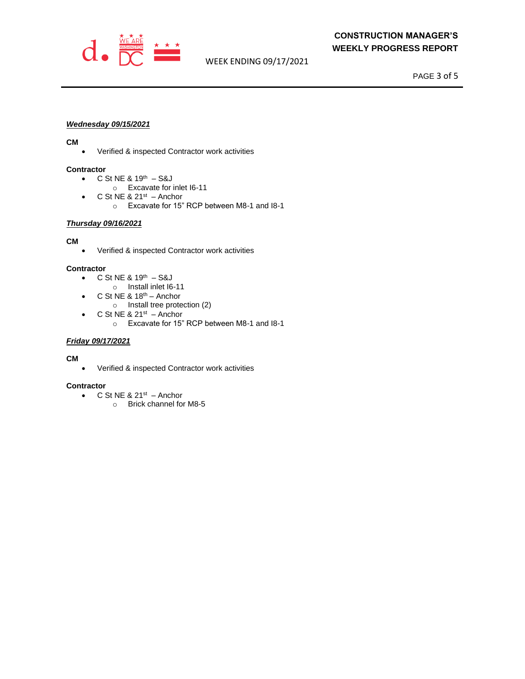

WEEK ENDING 09/17/2021

PAGE 3 of 5

#### *Wednesday 09/15/2021*

#### **CM**

• Verified & inspected Contractor work activities

#### **Contractor**

- $C$  St NE & 19<sup>th</sup>  $-$  S&J
- o Excavate for inlet I6-11
- $\bullet$  C St NE & 21<sup>st</sup> Anchor
	- o Excavate for 15" RCP between M8-1 and I8-1

#### *Thursday 09/16/2021*

#### **CM**

• Verified & inspected Contractor work activities

#### **Contractor**

- $C$  St NE & 19<sup>th</sup>  $-$  S&J
	- o Install inlet I6-11
- C St NE  $8.18<sup>th</sup>$  Anchor
	- o Install tree protection (2)
- $\bullet$  C St NE & 21st  $-$  Anchor
	- o Excavate for 15" RCP between M8-1 and I8-1

#### *Friday 09/17/2021*

#### **CM**

• Verified & inspected Contractor work activities

#### **Contractor**

- $\bullet$  C St NE & 21<sup>st</sup> Anchor
	- o Brick channel for M8-5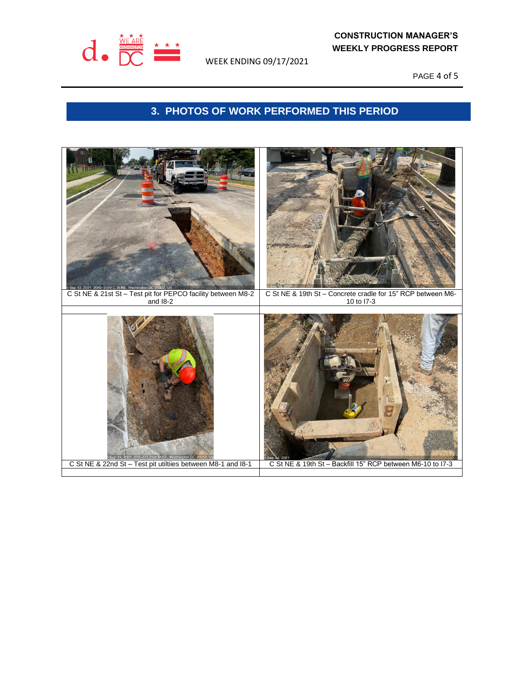

WEEK ENDING 09/17/2021

PAGE 4 of 5

## **3. PHOTOS OF WORK PERFORMED THIS PERIOD**